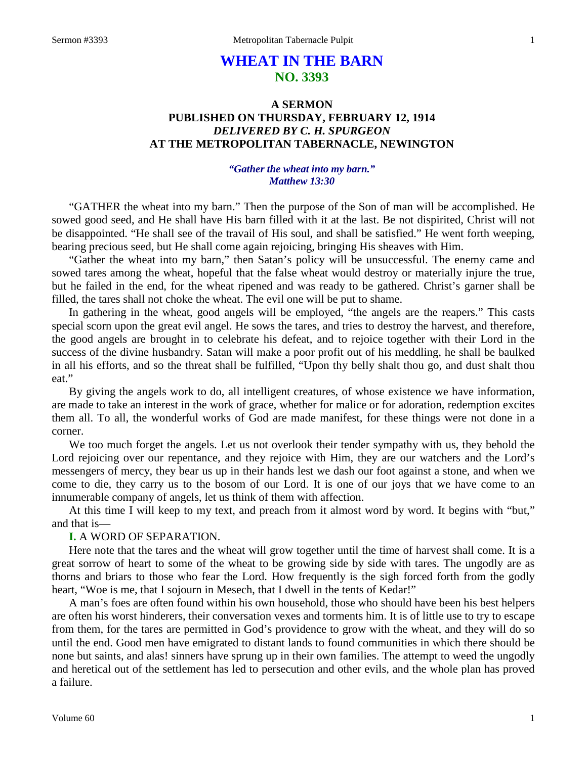# **WHEAT IN THE BARN NO. 3393**

## **A SERMON PUBLISHED ON THURSDAY, FEBRUARY 12, 1914** *DELIVERED BY C. H. SPURGEON* **AT THE METROPOLITAN TABERNACLE, NEWINGTON**

## *"Gather the wheat into my barn." Matthew 13:30*

"GATHER the wheat into my barn." Then the purpose of the Son of man will be accomplished. He sowed good seed, and He shall have His barn filled with it at the last. Be not dispirited, Christ will not be disappointed. "He shall see of the travail of His soul, and shall be satisfied." He went forth weeping, bearing precious seed, but He shall come again rejoicing, bringing His sheaves with Him.

"Gather the wheat into my barn," then Satan's policy will be unsuccessful. The enemy came and sowed tares among the wheat, hopeful that the false wheat would destroy or materially injure the true, but he failed in the end, for the wheat ripened and was ready to be gathered. Christ's garner shall be filled, the tares shall not choke the wheat. The evil one will be put to shame.

In gathering in the wheat, good angels will be employed, "the angels are the reapers." This casts special scorn upon the great evil angel. He sows the tares, and tries to destroy the harvest, and therefore, the good angels are brought in to celebrate his defeat, and to rejoice together with their Lord in the success of the divine husbandry. Satan will make a poor profit out of his meddling, he shall be baulked in all his efforts, and so the threat shall be fulfilled, "Upon thy belly shalt thou go, and dust shalt thou eat."

By giving the angels work to do, all intelligent creatures, of whose existence we have information, are made to take an interest in the work of grace, whether for malice or for adoration, redemption excites them all. To all, the wonderful works of God are made manifest, for these things were not done in a corner.

We too much forget the angels. Let us not overlook their tender sympathy with us, they behold the Lord rejoicing over our repentance, and they rejoice with Him, they are our watchers and the Lord's messengers of mercy, they bear us up in their hands lest we dash our foot against a stone, and when we come to die, they carry us to the bosom of our Lord. It is one of our joys that we have come to an innumerable company of angels, let us think of them with affection.

At this time I will keep to my text, and preach from it almost word by word. It begins with "but," and that is—

## **I.** A WORD OF SEPARATION.

Here note that the tares and the wheat will grow together until the time of harvest shall come. It is a great sorrow of heart to some of the wheat to be growing side by side with tares. The ungodly are as thorns and briars to those who fear the Lord. How frequently is the sigh forced forth from the godly heart, "Woe is me, that I sojourn in Mesech, that I dwell in the tents of Kedar!"

A man's foes are often found within his own household, those who should have been his best helpers are often his worst hinderers, their conversation vexes and torments him. It is of little use to try to escape from them, for the tares are permitted in God's providence to grow with the wheat, and they will do so until the end. Good men have emigrated to distant lands to found communities in which there should be none but saints, and alas! sinners have sprung up in their own families. The attempt to weed the ungodly and heretical out of the settlement has led to persecution and other evils, and the whole plan has proved a failure.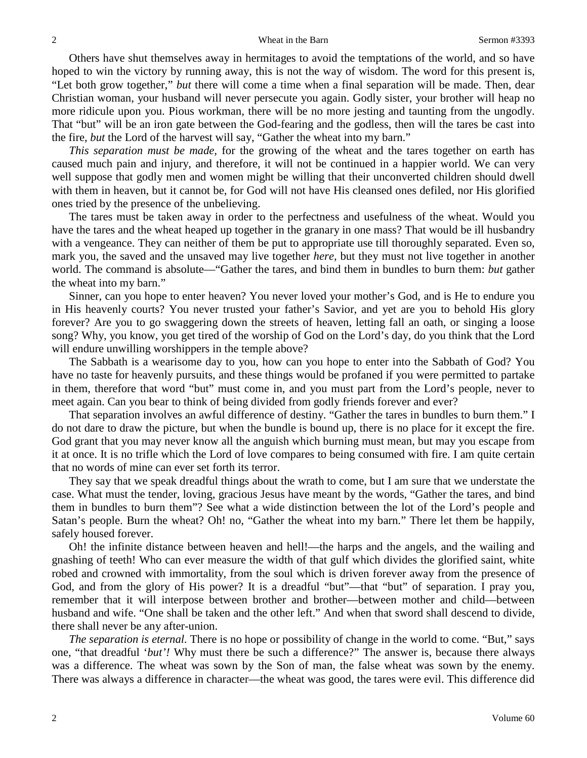Others have shut themselves away in hermitages to avoid the temptations of the world, and so have hoped to win the victory by running away, this is not the way of wisdom. The word for this present is, "Let both grow together," *but* there will come a time when a final separation will be made. Then, dear Christian woman, your husband will never persecute you again. Godly sister, your brother will heap no more ridicule upon you. Pious workman, there will be no more jesting and taunting from the ungodly. That "but" will be an iron gate between the God-fearing and the godless, then will the tares be cast into the fire, *but* the Lord of the harvest will say, "Gather the wheat into my barn."

*This separation must be made,* for the growing of the wheat and the tares together on earth has caused much pain and injury, and therefore, it will not be continued in a happier world. We can very well suppose that godly men and women might be willing that their unconverted children should dwell with them in heaven, but it cannot be, for God will not have His cleansed ones defiled, nor His glorified ones tried by the presence of the unbelieving.

The tares must be taken away in order to the perfectness and usefulness of the wheat. Would you have the tares and the wheat heaped up together in the granary in one mass? That would be ill husbandry with a vengeance. They can neither of them be put to appropriate use till thoroughly separated. Even so, mark you, the saved and the unsaved may live together *here,* but they must not live together in another world. The command is absolute—"Gather the tares, and bind them in bundles to burn them: *but* gather the wheat into my barn."

Sinner, can you hope to enter heaven? You never loved your mother's God, and is He to endure you in His heavenly courts? You never trusted your father's Savior, and yet are you to behold His glory forever? Are you to go swaggering down the streets of heaven, letting fall an oath, or singing a loose song? Why, you know, you get tired of the worship of God on the Lord's day, do you think that the Lord will endure unwilling worshippers in the temple above?

The Sabbath is a wearisome day to you, how can you hope to enter into the Sabbath of God? You have no taste for heavenly pursuits, and these things would be profaned if you were permitted to partake in them, therefore that word "but" must come in, and you must part from the Lord's people, never to meet again. Can you bear to think of being divided from godly friends forever and ever?

That separation involves an awful difference of destiny. "Gather the tares in bundles to burn them." I do not dare to draw the picture, but when the bundle is bound up, there is no place for it except the fire. God grant that you may never know all the anguish which burning must mean, but may you escape from it at once. It is no trifle which the Lord of love compares to being consumed with fire. I am quite certain that no words of mine can ever set forth its terror.

They say that we speak dreadful things about the wrath to come, but I am sure that we understate the case. What must the tender, loving, gracious Jesus have meant by the words, "Gather the tares, and bind them in bundles to burn them"? See what a wide distinction between the lot of the Lord's people and Satan's people. Burn the wheat? Oh! no, "Gather the wheat into my barn." There let them be happily, safely housed forever.

Oh! the infinite distance between heaven and hell!—the harps and the angels, and the wailing and gnashing of teeth! Who can ever measure the width of that gulf which divides the glorified saint, white robed and crowned with immortality, from the soul which is driven forever away from the presence of God, and from the glory of His power? It is a dreadful "but"—that "but" of separation. I pray you, remember that it will interpose between brother and brother—between mother and child—between husband and wife. "One shall be taken and the other left." And when that sword shall descend to divide, there shall never be any after-union.

*The separation is eternal.* There is no hope or possibility of change in the world to come. "But," says one, "that dreadful '*but'!* Why must there be such a difference?" The answer is, because there always was a difference. The wheat was sown by the Son of man, the false wheat was sown by the enemy. There was always a difference in character—the wheat was good, the tares were evil. This difference did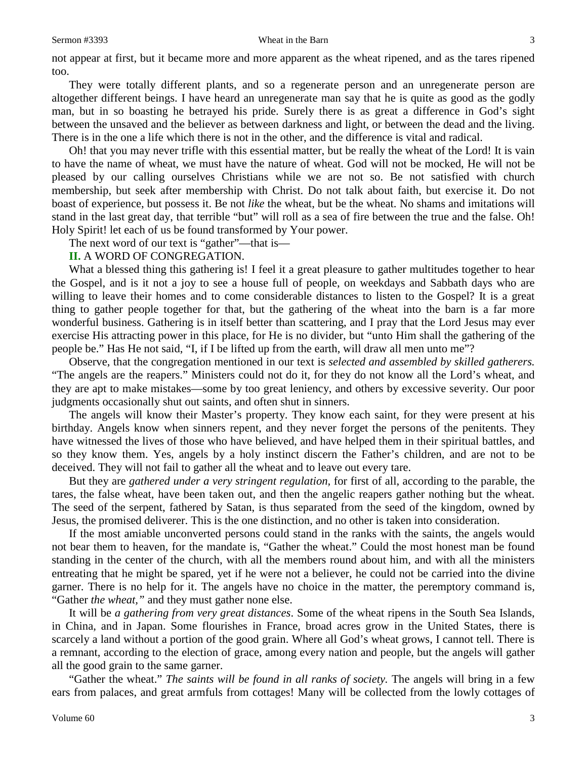#### Sermon #3393 Wheat in the Barn 3

not appear at first, but it became more and more apparent as the wheat ripened, and as the tares ripened too.

They were totally different plants, and so a regenerate person and an unregenerate person are altogether different beings. I have heard an unregenerate man say that he is quite as good as the godly man, but in so boasting he betrayed his pride. Surely there is as great a difference in God's sight between the unsaved and the believer as between darkness and light, or between the dead and the living. There is in the one a life which there is not in the other, and the difference is vital and radical.

Oh! that you may never trifle with this essential matter, but be really the wheat of the Lord! It is vain to have the name of wheat, we must have the nature of wheat. God will not be mocked, He will not be pleased by our calling ourselves Christians while we are not so. Be not satisfied with church membership, but seek after membership with Christ. Do not talk about faith, but exercise it. Do not boast of experience, but possess it. Be not *like* the wheat, but be the wheat. No shams and imitations will stand in the last great day, that terrible "but" will roll as a sea of fire between the true and the false. Oh! Holy Spirit! let each of us be found transformed by Your power.

The next word of our text is "gather"—that is—

#### **II.** A WORD OF CONGREGATION.

What a blessed thing this gathering is! I feel it a great pleasure to gather multitudes together to hear the Gospel, and is it not a joy to see a house full of people, on weekdays and Sabbath days who are willing to leave their homes and to come considerable distances to listen to the Gospel? It is a great thing to gather people together for that, but the gathering of the wheat into the barn is a far more wonderful business. Gathering is in itself better than scattering, and I pray that the Lord Jesus may ever exercise His attracting power in this place, for He is no divider, but "unto Him shall the gathering of the people be." Has He not said, "I, if I be lifted up from the earth, will draw all men unto me"?

Observe, that the congregation mentioned in our text is *selected and assembled by skilled gatherers.*  "The angels are the reapers." Ministers could not do it, for they do not know all the Lord's wheat, and they are apt to make mistakes—some by too great leniency, and others by excessive severity. Our poor judgments occasionally shut out saints, and often shut in sinners.

The angels will know their Master's property. They know each saint, for they were present at his birthday. Angels know when sinners repent, and they never forget the persons of the penitents. They have witnessed the lives of those who have believed, and have helped them in their spiritual battles, and so they know them. Yes, angels by a holy instinct discern the Father's children, and are not to be deceived. They will not fail to gather all the wheat and to leave out every tare.

But they are *gathered under a very stringent regulation,* for first of all, according to the parable, the tares, the false wheat, have been taken out, and then the angelic reapers gather nothing but the wheat. The seed of the serpent, fathered by Satan, is thus separated from the seed of the kingdom, owned by Jesus, the promised deliverer. This is the one distinction, and no other is taken into consideration.

If the most amiable unconverted persons could stand in the ranks with the saints, the angels would not bear them to heaven, for the mandate is, "Gather the wheat." Could the most honest man be found standing in the center of the church, with all the members round about him, and with all the ministers entreating that he might be spared, yet if he were not a believer, he could not be carried into the divine garner. There is no help for it. The angels have no choice in the matter, the peremptory command is, "Gather *the wheat,"* and they must gather none else.

It will be *a gathering from very great distances*. Some of the wheat ripens in the South Sea Islands, in China, and in Japan. Some flourishes in France, broad acres grow in the United States, there is scarcely a land without a portion of the good grain. Where all God's wheat grows, I cannot tell. There is a remnant, according to the election of grace, among every nation and people, but the angels will gather all the good grain to the same garner.

"Gather the wheat." *The saints will be found in all ranks of society.* The angels will bring in a few ears from palaces, and great armfuls from cottages! Many will be collected from the lowly cottages of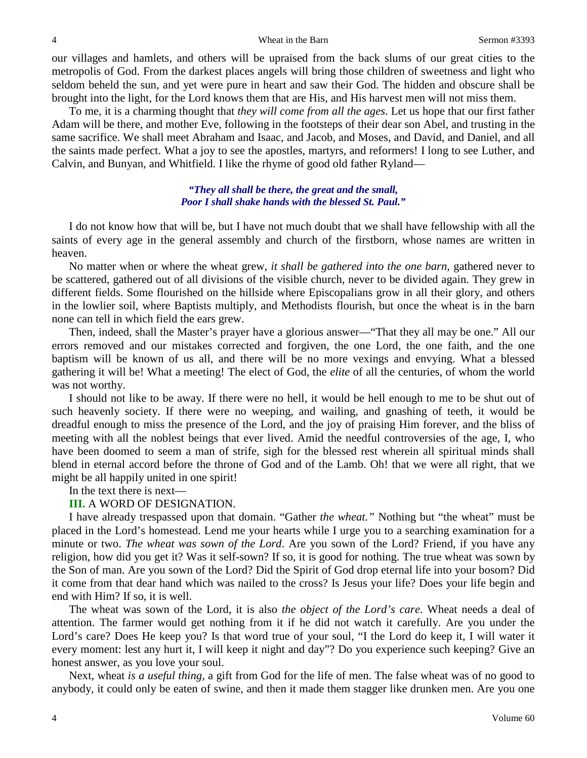our villages and hamlets, and others will be upraised from the back slums of our great cities to the metropolis of God. From the darkest places angels will bring those children of sweetness and light who seldom beheld the sun, and yet were pure in heart and saw their God. The hidden and obscure shall be brought into the light, for the Lord knows them that are His, and His harvest men will not miss them.

To me, it is a charming thought that *they will come from all the ages*. Let us hope that our first father Adam will be there, and mother Eve, following in the footsteps of their dear son Abel, and trusting in the same sacrifice. We shall meet Abraham and Isaac, and Jacob, and Moses, and David, and Daniel, and all the saints made perfect. What a joy to see the apostles, martyrs, and reformers! I long to see Luther, and Calvin, and Bunyan, and Whitfield. I like the rhyme of good old father Ryland—

### *"They all shall be there, the great and the small, Poor I shall shake hands with the blessed St. Paul."*

I do not know how that will be, but I have not much doubt that we shall have fellowship with all the saints of every age in the general assembly and church of the firstborn, whose names are written in heaven.

No matter when or where the wheat grew, *it shall be gathered into the one barn,* gathered never to be scattered, gathered out of all divisions of the visible church, never to be divided again. They grew in different fields. Some flourished on the hillside where Episcopalians grow in all their glory, and others in the lowlier soil, where Baptists multiply, and Methodists flourish, but once the wheat is in the barn none can tell in which field the ears grew.

Then, indeed, shall the Master's prayer have a glorious answer—"That they all may be one." All our errors removed and our mistakes corrected and forgiven, the one Lord, the one faith, and the one baptism will be known of us all, and there will be no more vexings and envying. What a blessed gathering it will be! What a meeting! The elect of God, the *elite* of all the centuries, of whom the world was not worthy.

I should not like to be away. If there were no hell, it would be hell enough to me to be shut out of such heavenly society. If there were no weeping, and wailing, and gnashing of teeth, it would be dreadful enough to miss the presence of the Lord, and the joy of praising Him forever, and the bliss of meeting with all the noblest beings that ever lived. Amid the needful controversies of the age, I, who have been doomed to seem a man of strife, sigh for the blessed rest wherein all spiritual minds shall blend in eternal accord before the throne of God and of the Lamb. Oh! that we were all right, that we might be all happily united in one spirit!

In the text there is next—

## **III.** A WORD OF DESIGNATION.

I have already trespassed upon that domain. "Gather *the wheat."* Nothing but "the wheat" must be placed in the Lord's homestead. Lend me your hearts while I urge you to a searching examination for a minute or two. *The wheat was sown of the Lord*. Are you sown of the Lord? Friend, if you have any religion, how did you get it? Was it self-sown? If so, it is good for nothing. The true wheat was sown by the Son of man. Are you sown of the Lord? Did the Spirit of God drop eternal life into your bosom? Did it come from that dear hand which was nailed to the cross? Is Jesus your life? Does your life begin and end with Him? If so, it is well.

The wheat was sown of the Lord, it is also *the object of the Lord's care*. Wheat needs a deal of attention. The farmer would get nothing from it if he did not watch it carefully. Are you under the Lord's care? Does He keep you? Is that word true of your soul, "I the Lord do keep it, I will water it every moment: lest any hurt it, I will keep it night and day"? Do you experience such keeping? Give an honest answer, as you love your soul.

Next, wheat *is a useful thing,* a gift from God for the life of men. The false wheat was of no good to anybody, it could only be eaten of swine, and then it made them stagger like drunken men. Are you one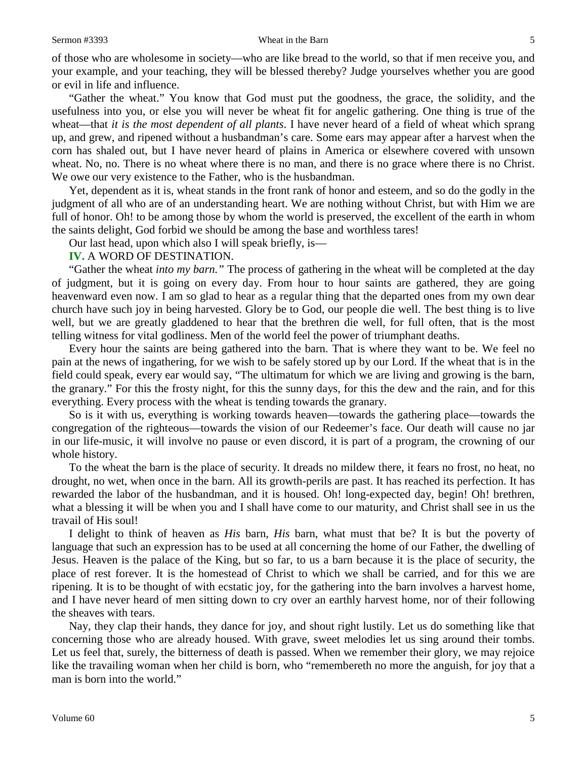of those who are wholesome in society—who are like bread to the world, so that if men receive you, and your example, and your teaching, they will be blessed thereby? Judge yourselves whether you are good or evil in life and influence.

"Gather the wheat." You know that God must put the goodness, the grace, the solidity, and the usefulness into you, or else you will never be wheat fit for angelic gathering. One thing is true of the wheat—that *it is the most dependent of all plants*. I have never heard of a field of wheat which sprang up, and grew, and ripened without a husbandman's care. Some ears may appear after a harvest when the corn has shaled out, but I have never heard of plains in America or elsewhere covered with unsown wheat. No, no. There is no wheat where there is no man, and there is no grace where there is no Christ. We owe our very existence to the Father, who is the husbandman.

Yet, dependent as it is, wheat stands in the front rank of honor and esteem, and so do the godly in the judgment of all who are of an understanding heart. We are nothing without Christ, but with Him we are full of honor. Oh! to be among those by whom the world is preserved, the excellent of the earth in whom the saints delight, God forbid we should be among the base and worthless tares!

Our last head, upon which also I will speak briefly, is—

#### **IV.** A WORD OF DESTINATION.

"Gather the wheat *into my barn."* The process of gathering in the wheat will be completed at the day of judgment, but it is going on every day. From hour to hour saints are gathered, they are going heavenward even now. I am so glad to hear as a regular thing that the departed ones from my own dear church have such joy in being harvested. Glory be to God, our people die well. The best thing is to live well, but we are greatly gladdened to hear that the brethren die well, for full often, that is the most telling witness for vital godliness. Men of the world feel the power of triumphant deaths.

Every hour the saints are being gathered into the barn. That is where they want to be. We feel no pain at the news of ingathering, for we wish to be safely stored up by our Lord. If the wheat that is in the field could speak, every ear would say, "The ultimatum for which we are living and growing is the barn, the granary." For this the frosty night, for this the sunny days, for this the dew and the rain, and for this everything. Every process with the wheat is tending towards the granary.

So is it with us, everything is working towards heaven—towards the gathering place—towards the congregation of the righteous—towards the vision of our Redeemer's face. Our death will cause no jar in our life-music, it will involve no pause or even discord, it is part of a program, the crowning of our whole history.

To the wheat the barn is the place of security. It dreads no mildew there, it fears no frost, no heat, no drought, no wet, when once in the barn. All its growth-perils are past. It has reached its perfection. It has rewarded the labor of the husbandman, and it is housed. Oh! long-expected day, begin! Oh! brethren, what a blessing it will be when you and I shall have come to our maturity, and Christ shall see in us the travail of His soul!

I delight to think of heaven as *His* barn, *His* barn, what must that be? It is but the poverty of language that such an expression has to be used at all concerning the home of our Father, the dwelling of Jesus. Heaven is the palace of the King, but so far, to us a barn because it is the place of security, the place of rest forever. It is the homestead of Christ to which we shall be carried, and for this we are ripening. It is to be thought of with ecstatic joy, for the gathering into the barn involves a harvest home, and I have never heard of men sitting down to cry over an earthly harvest home, nor of their following the sheaves with tears.

Nay, they clap their hands, they dance for joy, and shout right lustily. Let us do something like that concerning those who are already housed. With grave, sweet melodies let us sing around their tombs. Let us feel that, surely, the bitterness of death is passed. When we remember their glory, we may rejoice like the travailing woman when her child is born, who "remembereth no more the anguish, for joy that a man is born into the world."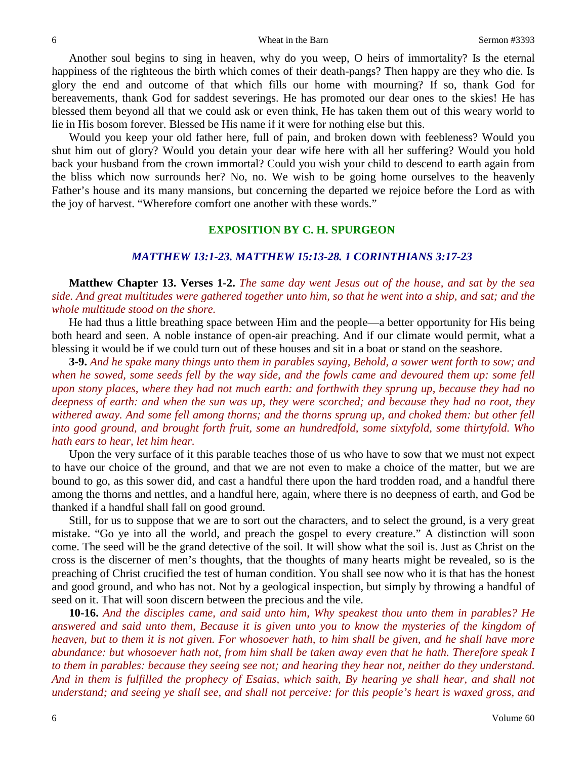Another soul begins to sing in heaven, why do you weep, O heirs of immortality? Is the eternal happiness of the righteous the birth which comes of their death-pangs? Then happy are they who die. Is glory the end and outcome of that which fills our home with mourning? If so, thank God for bereavements, thank God for saddest severings. He has promoted our dear ones to the skies! He has blessed them beyond all that we could ask or even think, He has taken them out of this weary world to lie in His bosom forever. Blessed be His name if it were for nothing else but this.

Would you keep your old father here, full of pain, and broken down with feebleness? Would you shut him out of glory? Would you detain your dear wife here with all her suffering? Would you hold back your husband from the crown immortal? Could you wish your child to descend to earth again from the bliss which now surrounds her? No, no. We wish to be going home ourselves to the heavenly Father's house and its many mansions, but concerning the departed we rejoice before the Lord as with the joy of harvest. "Wherefore comfort one another with these words."

#### **EXPOSITION BY C. H. SPURGEON**

## *MATTHEW 13:1-23. MATTHEW 15:13-28. 1 CORINTHIANS 3:17-23*

**Matthew Chapter 13. Verses 1-2.** *The same day went Jesus out of the house, and sat by the sea side. And great multitudes were gathered together unto him, so that he went into a ship, and sat; and the whole multitude stood on the shore.* 

He had thus a little breathing space between Him and the people—a better opportunity for His being both heard and seen. A noble instance of open-air preaching. And if our climate would permit, what a blessing it would be if we could turn out of these houses and sit in a boat or stand on the seashore.

**3-9.** *And he spake many things unto them in parables saying, Behold, a sower went forth to sow; and when he sowed, some seeds fell by the way side, and the fowls came and devoured them up: some fell upon stony places, where they had not much earth: and forthwith they sprung up, because they had no deepness of earth: and when the sun was up, they were scorched; and because they had no root, they withered away. And some fell among thorns; and the thorns sprung up, and choked them: but other fell into good ground, and brought forth fruit, some an hundredfold, some sixtyfold, some thirtyfold. Who hath ears to hear, let him hear.*

Upon the very surface of it this parable teaches those of us who have to sow that we must not expect to have our choice of the ground, and that we are not even to make a choice of the matter, but we are bound to go, as this sower did, and cast a handful there upon the hard trodden road, and a handful there among the thorns and nettles, and a handful here, again, where there is no deepness of earth, and God be thanked if a handful shall fall on good ground.

Still, for us to suppose that we are to sort out the characters, and to select the ground, is a very great mistake. "Go ye into all the world, and preach the gospel to every creature." A distinction will soon come. The seed will be the grand detective of the soil. It will show what the soil is. Just as Christ on the cross is the discerner of men's thoughts, that the thoughts of many hearts might be revealed, so is the preaching of Christ crucified the test of human condition. You shall see now who it is that has the honest and good ground, and who has not. Not by a geological inspection, but simply by throwing a handful of seed on it. That will soon discern between the precious and the vile.

**10-16.** *And the disciples came, and said unto him, Why speakest thou unto them in parables? He answered and said unto them, Because it is given unto you to know the mysteries of the kingdom of heaven, but to them it is not given. For whosoever hath, to him shall be given, and he shall have more abundance: but whosoever hath not, from him shall be taken away even that he hath. Therefore speak I to them in parables: because they seeing see not; and hearing they hear not, neither do they understand. And in them is fulfilled the prophecy of Esaias, which saith, By hearing ye shall hear, and shall not understand; and seeing ye shall see, and shall not perceive: for this people's heart is waxed gross, and*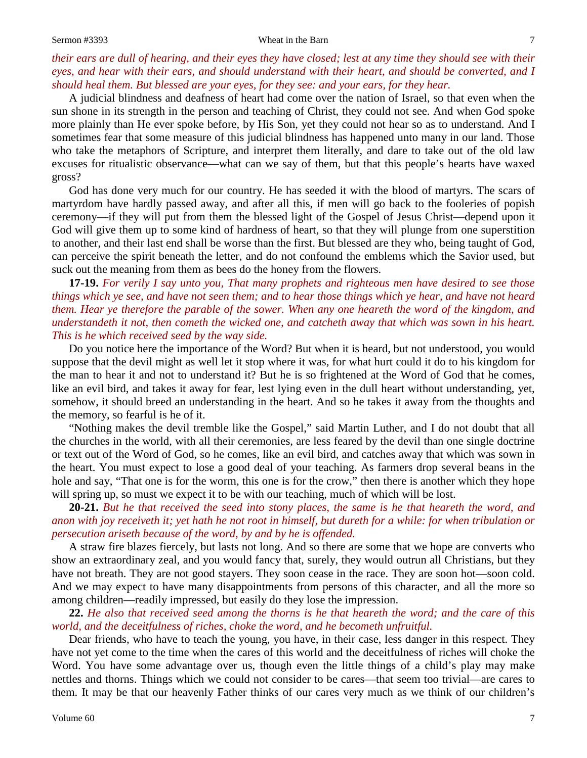#### Sermon #3393 Wheat in the Barn 7

A judicial blindness and deafness of heart had come over the nation of Israel, so that even when the sun shone in its strength in the person and teaching of Christ, they could not see. And when God spoke more plainly than He ever spoke before, by His Son, yet they could not hear so as to understand. And I sometimes fear that some measure of this judicial blindness has happened unto many in our land. Those who take the metaphors of Scripture, and interpret them literally, and dare to take out of the old law excuses for ritualistic observance—what can we say of them, but that this people's hearts have waxed gross?

God has done very much for our country. He has seeded it with the blood of martyrs. The scars of martyrdom have hardly passed away, and after all this, if men will go back to the fooleries of popish ceremony—if they will put from them the blessed light of the Gospel of Jesus Christ—depend upon it God will give them up to some kind of hardness of heart, so that they will plunge from one superstition to another, and their last end shall be worse than the first. But blessed are they who, being taught of God, can perceive the spirit beneath the letter, and do not confound the emblems which the Savior used, but suck out the meaning from them as bees do the honey from the flowers.

**17-19.** *For verily I say unto you, That many prophets and righteous men have desired to see those things which ye see, and have not seen them; and to hear those things which ye hear, and have not heard them. Hear ye therefore the parable of the sower. When any one heareth the word of the kingdom, and understandeth it not, then cometh the wicked one, and catcheth away that which was sown in his heart. This is he which received seed by the way side.*

Do you notice here the importance of the Word? But when it is heard, but not understood, you would suppose that the devil might as well let it stop where it was, for what hurt could it do to his kingdom for the man to hear it and not to understand it? But he is so frightened at the Word of God that he comes, like an evil bird, and takes it away for fear, lest lying even in the dull heart without understanding, yet, somehow, it should breed an understanding in the heart. And so he takes it away from the thoughts and the memory, so fearful is he of it.

"Nothing makes the devil tremble like the Gospel," said Martin Luther, and I do not doubt that all the churches in the world, with all their ceremonies, are less feared by the devil than one single doctrine or text out of the Word of God, so he comes, like an evil bird, and catches away that which was sown in the heart. You must expect to lose a good deal of your teaching. As farmers drop several beans in the hole and say, "That one is for the worm, this one is for the crow," then there is another which they hope will spring up, so must we expect it to be with our teaching, much of which will be lost.

**20-21.** *But he that received the seed into stony places, the same is he that heareth the word, and anon with joy receiveth it; yet hath he not root in himself, but dureth for a while: for when tribulation or persecution ariseth because of the word, by and by he is offended.* 

A straw fire blazes fiercely, but lasts not long. And so there are some that we hope are converts who show an extraordinary zeal, and you would fancy that, surely, they would outrun all Christians, but they have not breath. They are not good stayers. They soon cease in the race. They are soon hot—soon cold. And we may expect to have many disappointments from persons of this character, and all the more so among children—readily impressed, but easily do they lose the impression.

**22.** *He also that received seed among the thorns is he that heareth the word; and the care of this world, and the deceitfulness of riches, choke the word, and he becometh unfruitful.*

Dear friends, who have to teach the young, you have, in their case, less danger in this respect. They have not yet come to the time when the cares of this world and the deceitfulness of riches will choke the Word. You have some advantage over us, though even the little things of a child's play may make nettles and thorns. Things which we could not consider to be cares—that seem too trivial—are cares to them. It may be that our heavenly Father thinks of our cares very much as we think of our children's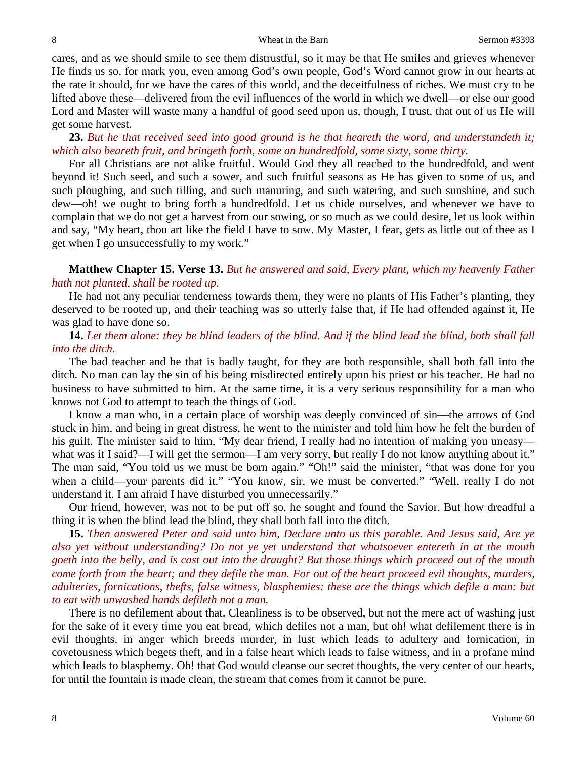cares, and as we should smile to see them distrustful, so it may be that He smiles and grieves whenever He finds us so, for mark you, even among God's own people, God's Word cannot grow in our hearts at the rate it should, for we have the cares of this world, and the deceitfulness of riches. We must cry to be lifted above these—delivered from the evil influences of the world in which we dwell—or else our good Lord and Master will waste many a handful of good seed upon us, though, I trust, that out of us He will get some harvest.

**23.** *But he that received seed into good ground is he that heareth the word, and understandeth it; which also beareth fruit, and bringeth forth, some an hundredfold, some sixty, some thirty.*

For all Christians are not alike fruitful. Would God they all reached to the hundredfold, and went beyond it! Such seed, and such a sower, and such fruitful seasons as He has given to some of us, and such ploughing, and such tilling, and such manuring, and such watering, and such sunshine, and such dew—oh! we ought to bring forth a hundredfold. Let us chide ourselves, and whenever we have to complain that we do not get a harvest from our sowing, or so much as we could desire, let us look within and say, "My heart, thou art like the field I have to sow. My Master, I fear, gets as little out of thee as I get when I go unsuccessfully to my work."

**Matthew Chapter 15. Verse 13.** *But he answered and said, Every plant, which my heavenly Father hath not planted, shall be rooted up.*

He had not any peculiar tenderness towards them, they were no plants of His Father's planting, they deserved to be rooted up, and their teaching was so utterly false that, if He had offended against it, He was glad to have done so.

## **14.** *Let them alone: they be blind leaders of the blind. And if the blind lead the blind, both shall fall into the ditch.*

The bad teacher and he that is badly taught, for they are both responsible, shall both fall into the ditch. No man can lay the sin of his being misdirected entirely upon his priest or his teacher. He had no business to have submitted to him. At the same time, it is a very serious responsibility for a man who knows not God to attempt to teach the things of God.

I know a man who, in a certain place of worship was deeply convinced of sin—the arrows of God stuck in him, and being in great distress, he went to the minister and told him how he felt the burden of his guilt. The minister said to him, "My dear friend, I really had no intention of making you uneasy what was it I said?—I will get the sermon—I am very sorry, but really I do not know anything about it." The man said, "You told us we must be born again." "Oh!" said the minister, "that was done for you when a child—your parents did it." "You know, sir, we must be converted." "Well, really I do not understand it. I am afraid I have disturbed you unnecessarily."

Our friend, however, was not to be put off so, he sought and found the Savior. But how dreadful a thing it is when the blind lead the blind, they shall both fall into the ditch.

**15.** *Then answered Peter and said unto him, Declare unto us this parable. And Jesus said, Are ye also yet without understanding? Do not ye yet understand that whatsoever entereth in at the mouth goeth into the belly, and is cast out into the draught? But those things which proceed out of the mouth come forth from the heart; and they defile the man. For out of the heart proceed evil thoughts, murders, adulteries, fornications, thefts, false witness, blasphemies: these are the things which defile a man: but to eat with unwashed hands defileth not a man.*

There is no defilement about that. Cleanliness is to be observed, but not the mere act of washing just for the sake of it every time you eat bread, which defiles not a man, but oh! what defilement there is in evil thoughts, in anger which breeds murder, in lust which leads to adultery and fornication, in covetousness which begets theft, and in a false heart which leads to false witness, and in a profane mind which leads to blasphemy. Oh! that God would cleanse our secret thoughts, the very center of our hearts, for until the fountain is made clean, the stream that comes from it cannot be pure.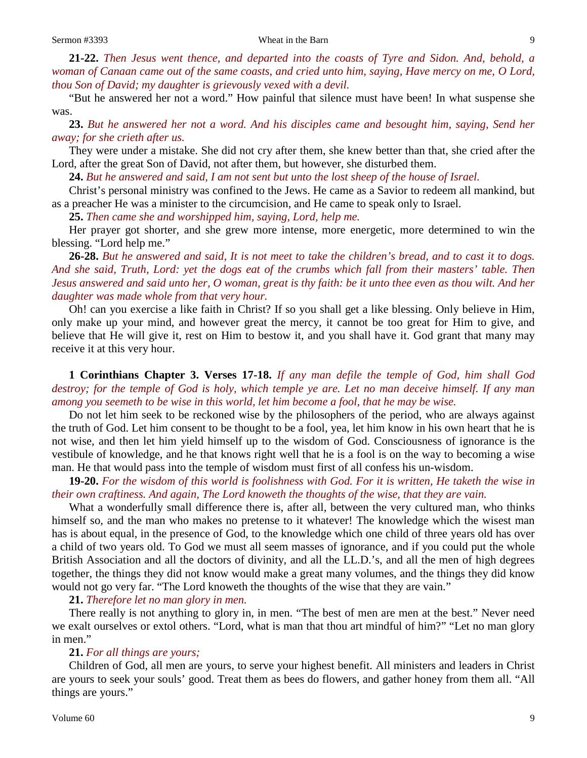**21-22.** *Then Jesus went thence, and departed into the coasts of Tyre and Sidon. And, behold, a woman of Canaan came out of the same coasts, and cried unto him, saying, Have mercy on me, O Lord, thou Son of David; my daughter is grievously vexed with a devil.*

"But he answered her not a word." How painful that silence must have been! In what suspense she was.

**23.** *But he answered her not a word. And his disciples came and besought him, saying, Send her away; for she crieth after us.*

They were under a mistake. She did not cry after them, she knew better than that, she cried after the Lord, after the great Son of David, not after them, but however, she disturbed them.

**24.** *But he answered and said, I am not sent but unto the lost sheep of the house of Israel.*

Christ's personal ministry was confined to the Jews. He came as a Savior to redeem all mankind, but as a preacher He was a minister to the circumcision, and He came to speak only to Israel.

**25.** *Then came she and worshipped him, saying, Lord, help me.*

Her prayer got shorter, and she grew more intense, more energetic, more determined to win the blessing. "Lord help me."

**26-28.** *But he answered and said, It is not meet to take the children's bread, and to cast it to dogs. And she said, Truth, Lord: yet the dogs eat of the crumbs which fall from their masters' table. Then Jesus answered and said unto her, O woman, great is thy faith: be it unto thee even as thou wilt. And her daughter was made whole from that very hour.*

Oh! can you exercise a like faith in Christ? If so you shall get a like blessing. Only believe in Him, only make up your mind, and however great the mercy, it cannot be too great for Him to give, and believe that He will give it, rest on Him to bestow it, and you shall have it. God grant that many may receive it at this very hour.

**1 Corinthians Chapter 3. Verses 17-18.** *If any man defile the temple of God, him shall God destroy; for the temple of God is holy, which temple ye are. Let no man deceive himself. If any man among you seemeth to be wise in this world, let him become a fool, that he may be wise.*

Do not let him seek to be reckoned wise by the philosophers of the period, who are always against the truth of God. Let him consent to be thought to be a fool, yea, let him know in his own heart that he is not wise, and then let him yield himself up to the wisdom of God. Consciousness of ignorance is the vestibule of knowledge, and he that knows right well that he is a fool is on the way to becoming a wise man. He that would pass into the temple of wisdom must first of all confess his un-wisdom.

**19-20.** *For the wisdom of this world is foolishness with God. For it is written, He taketh the wise in their own craftiness. And again, The Lord knoweth the thoughts of the wise, that they are vain.*

What a wonderfully small difference there is, after all, between the very cultured man, who thinks himself so, and the man who makes no pretense to it whatever! The knowledge which the wisest man has is about equal, in the presence of God, to the knowledge which one child of three years old has over a child of two years old. To God we must all seem masses of ignorance, and if you could put the whole British Association and all the doctors of divinity, and all the LL.D.'s, and all the men of high degrees together, the things they did not know would make a great many volumes, and the things they did know would not go very far. "The Lord knoweth the thoughts of the wise that they are vain."

## **21.** *Therefore let no man glory in men.*

There really is not anything to glory in, in men. "The best of men are men at the best." Never need we exalt ourselves or extol others. "Lord, what is man that thou art mindful of him?" "Let no man glory in men."

## **21.** *For all things are yours;*

Children of God, all men are yours, to serve your highest benefit. All ministers and leaders in Christ are yours to seek your souls' good. Treat them as bees do flowers, and gather honey from them all. "All things are yours."